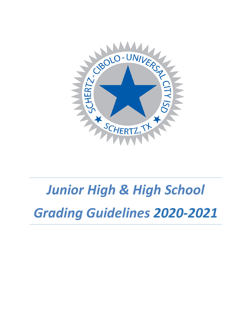

# *Junior High & High School Grading Guidelines 2020-2021*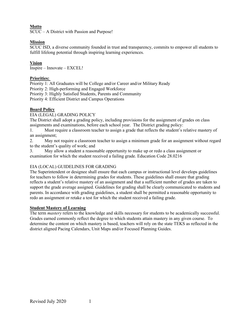# **Motto**

SCUC – A District with Passion and Purpose!

# **Mission**

SCUC ISD, a diverse community founded in trust and transparency, commits to empower all students to fulfill lifelong potential through inspiring learning experiences.

# **Vision**

Inspire – Innovate – EXCEL!

# **Priorities:**

Priority 1: All Graduates will be College and/or Career and/or Military Ready

Priority 2: High-performing and Engaged Workforce

Priority 3: Highly Satisfied Students, Parents and Community

Priority 4: Efficient District and Campus Operations

# **Board Policy**

EIA (LEGAL) GRADING POLICY

The District shall adopt a grading policy, including provisions for the assignment of grades on class assignments and examinations, before each school year. The District grading policy:

1. Must require a classroom teacher to assign a grade that reflects the student's relative mastery of an assignment;

2. May not require a classroom teacher to assign a minimum grade for an assignment without regard to the student's quality of work; and

3. May allow a student a reasonable opportunity to make up or redo a class assignment or examination for which the student received a failing grade. Education Code 28.0216

# EIA (LOCAL) GUIDELINES FOR GRADING

The Superintendent or designee shall ensure that each campus or instructional level develops guidelines for teachers to follow in determining grades for students. These guidelines shall ensure that grading reflects a student's relative mastery of an assignment and that a sufficient number of grades are taken to support the grade average assigned. Guidelines for grading shall be clearly communicated to students and parents. In accordance with grading guidelines, a student shall be permitted a reasonable opportunity to redo an assignment or retake a test for which the student received a failing grade.

# **Student Mastery of Learning**

The term *mastery* refers to the knowledge and skills necessary for students to be academically successful. Grades earned commonly reflect the degree to which students attain mastery in any given course. To determine the content on which mastery is based, teachers will rely on the state TEKS as reflected in the district aligned Pacing Calendars, Unit Maps and/or Focused Planning Guides.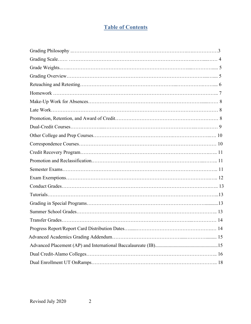# **Table of Contents**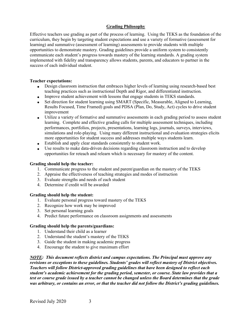# **Grading Philosophy**

Effective teachers use grading as part of the process of learning. Using the TEKS as the foundation of the curriculum, they begin by targeting student expectations and use a variety of formative (assessment for learning) and summative (assessment of learning) assessments to provide students with multiple opportunities to demonstrate mastery. Grading guidelines provide a uniform system to consistently communicate each student's progress towards mastery of the learning standards. A grading system implemented with fidelity and transparency allows students, parents, and educators to partner in the success of each individual student.

#### **Teacher expectations:**

- Design classroom instruction that embraces higher levels of learning using research-based best teaching practices such as instructional Depth and Rigor, and differentiated instruction.
- Improve student achievement with lessons that engage students in TEKS standards.
- Set direction for student learning using SMART (Specific, Measurable, Aligned to Learning, Results Focused, Time Framed) goals and PDSA (Plan, Do, Study, Act) cycles to drive student improvement
- Utilize a variety of formative and summative assessments in each grading period to assess student learning. Complete and effective grading calls for multiple assessment techniques, including performances, portfolios, projects, presentations, learning logs, journals, surveys, interviews, simulations and role-playing. Using many different instructional and evaluation strategies elicits more opportunities for student success and addresses multiple ways students learn.
- Establish and apply clear standards consistently to student work.
- Use results to make data-driven decisions regarding classroom instruction and to develop opportunities for reteach and relearn which is necessary for mastery of the content.

#### **Grading should help the teacher:**

- 1. Communicate progress to the student and parent/guardian on the mastery of the TEKS
- 2. Appraise the effectiveness of teaching strategies and modes of instruction
- 3. Evaluate strengths and needs of each student
- 4. Determine if credit will be awarded

#### **Grading should help the student:**

- 1. Evaluate personal progress toward mastery of the TEKS
- 2. Recognize how work may be improved
- 3. Set personal learning goals
- 4. Predict future performance on classroom assignments and assessments

#### **Grading should help the parents/guardians:**

- 1. Understand their child as a learner
- 2. Understand the student's mastery of the TEKS
- 3. Guide the student in making academic progress
- 4. Encourage the student to give maximum effort

*NOTE: This document reflects district and campus expectations. The Principal must approve any revisions or exceptions to these guidelines. Students' grades will reflect mastery of District objectives. Teachers will follow District-approved grading guidelines that have been designed to reflect each student's academic achievement for the grading period, semester, or course. State law provides that a test or course grade issued by a teacher cannot be changed unless the Board determines that the grade was arbitrary, or contains an error, or that the teacher did not follow the District's grading guidelines.*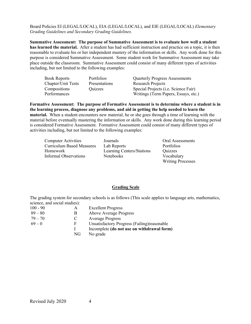#### Board Policies EI (LEGAL/LOCAL), EIA (LEGAL/LOCAL), and EIE (LEGAL/LOCAL) *Elementary Grading Guidelines and Secondary Grading Guidelines.*

**Summative Assessment: The purpose of Summative Assessment is to evaluate how well a student has learned the material.** After a student has had sufficient instruction and practice on a topic, it is then reasonable to evaluate his or her independent mastery of the information or skills. Any work done for this purpose is considered Summative Assessment. Some student work for Summative Assessment may take place outside the classroom. Summative Assessment could consist of many different types of activities including, but not limited to the following examples:

| <b>Book Reports</b> | <b>Portfolios</b> | <b>Quarterly Progress Assessments</b>        |
|---------------------|-------------------|----------------------------------------------|
| Chapter/Unit Tests  | Presentations     | <b>Research Projects</b>                     |
| Compositions        | Quizzes           | Special Projects ( <i>i.e.</i> Science Fair) |
| Performances        |                   | Writings (Term Papers, Essays, etc.)         |

**Formative Assessment: The purpose of Formative Assessment is to determine where a student is in the learning process, diagnose any problems, and aid in getting the help needed to learn the material.** When a student encounters new material, he or she goes through a time of learning with the material before eventually mastering the information or skills. Any work done during this learning period is considered Formative Assessment. Formative Assessment could consist of many different types of activities including, but not limited to the following examples:

| <b>Computer Activities</b> |                                  | Journals                  | Oral Assessments         |
|----------------------------|----------------------------------|---------------------------|--------------------------|
|                            | <b>Curriculum Based Measures</b> | Lab Reports               | <b>Portfolios</b>        |
| Homework                   |                                  | Learning Centers/Stations | Quizzes                  |
|                            | Informal Observations            | Notebooks                 | Vocabulary               |
|                            |                                  |                           | <b>Writing Processes</b> |

#### **Grading Scale**

The grading system for secondary schools is as follows (This scale applies to language arts, mathematics, science, and social studies):

| $100 - 90$ | A  | <b>Excellent Progress</b>                    |
|------------|----|----------------------------------------------|
| $89 - 80$  | B  | Above Average Progress                       |
| $79 - 70$  | C  | <b>Average Progress</b>                      |
| $69 - 0$   | F  | Unsatisfactory Progress (Failing) reasonable |
|            |    | Incomplete (do not use on withdrawal form)   |
|            | NG | No grade                                     |
|            |    |                                              |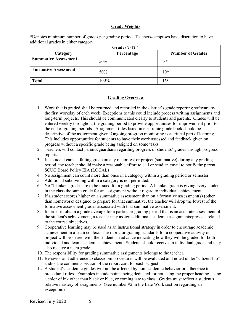#### **Grade Weights**

\*Denotes minimum number of grades per grading period. Teachers/campuses have discretion to have additional grades in either category.

| Grades 7-12 <sup>th</sup>   |            |                         |  |
|-----------------------------|------------|-------------------------|--|
| Category                    | Percentage | <b>Number of Grades</b> |  |
| <b>Summative Assessment</b> | 50%        | $3*$                    |  |
| <b>Formative Assessment</b> | 50%        | $10*$                   |  |
| <b>Total</b>                | 100%       | $13*$                   |  |

#### **Grading Overview**

- 1. Work that is graded shall be returned and recorded in the district's grade reporting software by the first workday of each week. Exceptions to this could include process writing assignments and long-term projects. This should be communicated clearly to students and parents. Grades will be entered weekly throughout the grading period to provide opportunities for improvement prior to the end of grading periods. Assignment titles listed in electronic grade book should be descriptive of the assignment given. Ongoing progress monitoring is a critical part of learning. This includes opportunities for students to have their work assessed and feedback given on progress without a specific grade being assigned on some tasks.
- 2. Teachers will contact parents/guardians regarding progress of students' grades through progress reports.
- 3. If a student earns a failing grade on any major test or project (summative) during any grading period, the teacher should make a reasonable effort to call or send an email to notify the parent. SCUC Board Policy EIA (LOCAL)
- 4. No assignment can count more than once in a category within a grading period or semester.
- 5. Additional subdividing within a category is not permitted.
- 6. No "blanket" grades are to be issued for a grading period. A blanket grade is giving every student in the class the same grade for an assignment without regard to individual achievement.
- 7. If a student scores higher on a summative assessment than on a formative assessment(s) (other than homework) designed to prepare for that summative, the teacher will drop the lowest of the formative assessment grades associated with that summative assessment.
- 8. In order to obtain a grade average for a particular grading period that is an accurate assessment of the student's achievement, a teacher may assign additional academic assignments/projects related to the course objectives.
- 9. Cooperative learning may be used as an instructional strategy in order to encourage academic achievement in a team context. The rubric or grading standards for a cooperative activity or project will be shared with the students in advance indicating how they will be graded for both individual and team academic achievement. Students should receive an individual grade and may also receive a team grade.
- 10. The responsibility for grading summative assignments belongs to the teacher.
- 11. Behavior and adherence to classroom procedures will be evaluated and noted under "citizenship" and/or the comments section of the report card for each subject.
- 12. A student's academic grades will not be affected by non-academic behavior or adherence to procedural rules. Examples include points being deducted for not using the proper heading, using a color of ink other than black or blue, or coming late to class. Grades must reflect a student's relative mastery of assignments. (See number #2 in the Late Work section regarding an exception.)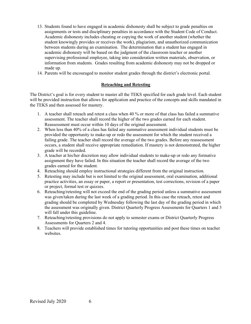- 13. Students found to have engaged in academic dishonesty shall be subject to grade penalties on assignments or tests and disciplinary penalties in accordance with the Student Code of Conduct. Academic dishonesty includes cheating or copying the work of another student (whether the student knowingly provides or receives the work), plagiarism, and unauthorized communication between students during an examination. The determination that a student has engaged in academic dishonesty will be based on the judgment of the classroom teacher or another supervising professional employee, taking into consideration written materials, observation, or information from students. Grades resulting from academic dishonesty may not be dropped or made up.
- 14. Parents will be encouraged to monitor student grades through the district's electronic portal.

#### **Reteaching and Retesting**

The District's goal is for every student to master all the TEKS specified for each grade level. Each student will be provided instruction that allows for application and practice of the concepts and skills mandated in the TEKS and then assessed for mastery.

- 1. A teacher shall reteach and retest a class when 40 % or more of that class has failed a summative assessment. The teacher shall record the higher of the two grades earned for each student. Reassessment must occur within 10 days of the original assessment.
- 2. When less than 40% of a class has failed any summative assessment individual students must be provided the opportunity to make-up or redo the assessment for which the student received a failing grade. The teacher shall record the average of the two grades. Before any reassessment occurs, a student shall receive appropriate remediation. If mastery is not demonstrated, the higher grade will be recorded.
- 3. A teacher at his/her discretion may allow individual students to make-up or redo any formative assignment they have failed. In this situation the teacher shall record the average of the two grades earned for the student.
- 4. Reteaching should employ instructional strategies different from the original instruction.
- 5. Retesting may include but is not limited to the original assessment, oral examination, additional practice activities, an essay or paper, a report or presentation, test corrections, revision of a paper or project, formal test or quizzes.
- 6. Reteaching/retesting will not exceed the end of the grading period unless a summative assessment was given/taken during the last week of a grading period. In this case the reteach, retest and grading should be completed by Wednesday following the last day of the grading period in which the assessment was originally given. District Quarterly Progress Assessments for Quarters 1 and 3 will fall under this guideline.
- 7. Reteaching/retesting provisions do not apply to semester exams or District Quarterly Progress Assessments for Quarters 2 and 4.
- 8. Teachers will provide established times for tutoring opportunities and post these times on teacher websites.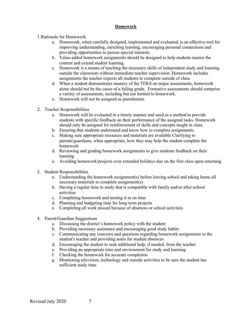#### **Homework**

1.Rationale for Homework

- a. Homework, when carefully designed, implemented and evaluated, is an effective tool for improving understanding, enriching learning, encouraging personal connections and providing opportunities to pursue special interests.
- b. Value-added homework assignments should be designed to help students master the content and extend student learning.
- c. Homework is a means of teaching the necessary skills of independent study and learning outside the classroom without immediate teacher supervision. Homework includes assignments the teacher expects all students to complete outside of class.
- d. When a student demonstrates mastery of the TEKS on major assessments, homework alone should not be the cause of a failing grade. Formative assessments should comprise a variety of assessments, including but not limited to homework.
- e. Homework will not be assigned as punishment.
- 2. Teacher Responsibilities
	- a. Homework will be evaluated in a timely manner and used as a method to provide students with specific feedback on their performance of the assigned tasks. Homework should only be assigned for reinforcement of skills and concepts taught in class.
	- b. Ensuring that students understand and know how to complete assignments.
	- c. Making sure appropriate resources and materials are available Clarifying to parents/guardians, when appropriate, how they may help the student complete the homework
	- d. Reviewing and grading homework assignments to give students feedback on their learning
	- e. Avoiding homework/projects over extended holidays due on the first class upon returning
- 3. Student Responsibilities
	- a. Understanding the homework assignment(s) before leaving school and taking home all necessary materials to complete assignment(s)
	- b. Having a regular time to study that is compatible with family and/or after-school activities
	- c. Completing homework and turning it in on time
	- d. Planning and budgeting time for long-term projects
	- e. Completing all work missed because of absences or school activities
- 4. Parent/Guardian Suggestions
	- a. Discussing the district's homework policy with the student
	- b. Providing necessary assistance and encouraging good study habits
	- c. Communicating any concerns and questions regarding homework assignments to the student's teacher and providing notes for student absences
	- d. Encouraging the student to seek additional help, if needed, from the teacher
	- e. Providing an appropriate time and environment for study and learning
	- f. Checking the homework for accurate completion
	- g. Monitoring television, technology and outside activities to be sure the student has sufficient study time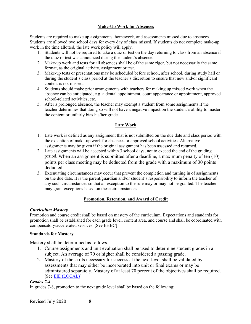# **Make-Up Work for Absences**

Students are required to make up assignments, homework, and assessments missed due to absences. Students are allowed two school days for every day of class missed. If students do not complete make-up work in the time allotted, the late work policy will apply.

- 1. Students will not be required to take a quiz or test on the day returning to class from an absence if the quiz or test was announced during the student's absence.
- 2. Make-up work and tests for all absences shall be of the same rigor, but not necessarily the same format, as the original activity, assignment or test.
- 3. Make-up tests or presentations may be scheduled before school, after school, during study hall or during the student's class period at the teacher's discretion to ensure that new and/or significant content is not missed.
- 4. Students should make prior arrangements with teachers for making up missed work when the absence can be anticipated, e.g. a dental appointment, court appearance or appointment, approved school-related activities, etc.
- 5. After a prolonged absence, the teacher may exempt a student from some assignments if the teacher determines that doing so will not have a negative impact on the student's ability to master the content or unfairly bias his/her grade.

# **Late Work**

- 1. Late work is defined as any assignment that is not submitted on the due date and class period with the exception of make-up work for absences or approved school activities. Alternative assignments may be given if the original assignment has been assessed and returned.
- 2. Late assignments will be accepted within 3 school days, not to exceed the end of the grading period. When an assignment is submitted after a deadline, a maximum penalty of ten (10) points per class meeting may be deducted from the grade with a maximum of 30 points deducted.
- 3. Extenuating circumstances may occur that prevent the completion and turning in of assignments on the due date. It is the parent/guardian and/or student's responsibility to inform the teacher of any such circumstances so that an exception to the rule may or may not be granted. The teacher may grant exceptions based on these circumstances.

# **Promotion, Retention, and Award of Credit**

# *Curriculum Mastery*

Promotion and course credit shall be based on mastery of the curriculum. Expectations and standards for promotion shall be established for each grade level, content area, and course and shall be coordinated with compensatory/accelerated services. [See [EHBC\]](https://pol.tasb.org/Policy/Code/551?filter=EHBC)

# **Standards for Mastery**

Mastery shall be determined as follows:

- 1. Course assignments and unit evaluation shall be used to determine student grades in a subject. An average of 70 or higher shall be considered a passing grade.
- 2. Mastery of the skills necessary for success at the next level shall be validated by assessments that may either be incorporated into unit or final exams or may be administered separately. Mastery of at least 70 percent of the objectives shall be required. [See **EIE** (LOCAL)]

# *Grades 7-8*

In grades 7-8, promotion to the next grade level shall be based on the following: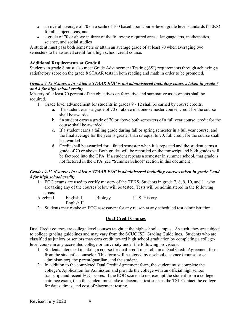- an overall average of 70 on a scale of 100 based upon course-level, grade level standards (TEKS) for all subject areas, and
- a grade of 70 or above in three of the following required areas: language arts, mathematics, science, and social studies

A student must pass both semesters or attain an average grade of at least 70 when averaging two semesters to be awarded credit for a high school credit course.

# **Additional Requirements at Grade 8**

Students in grade 8 must also meet Grade Advancement Testing (SSI) requirements through achieving a satisfactory score on the grade 8 STAAR tests in both reading and math in order to be promoted.

#### *Grades 9-12 (Courses in which a STAAR EOC is not administered including courses taken in grade 7 and 8 for high school credit)*

Mastery of at least 70 percent of the objectives on formative and summative assessments shall be required.

- 1. Grade level advancement for students in grades 9 12 shall be earned by course credits.
	- a. If a student earns a grade of 70 or above in a one-semester course, credit for the course shall be awarded.
	- b. f a student earns a grade of 70 or above both semesters of a full year course, credit for the course shall be awarded.
	- c. If a student earns a failing grade during fall or spring semester in a full year course, and the final average for the year is greater than or equal to 70, full credit for the course shall be awarded.
	- d. Credit shall be awarded for a failed semester when it is repeated and the student earns a grade of 70 or above. Both grades will be recorded on the transcript and both grades will be factored into the GPA. If a student repeats a semester in summer school, that grade is not factored in the GPA (see "Summer School" section in this document).

#### *Grades 9-12 (Courses in which a STAAR EOC is administered including courses taken in grade 7 and 8 for high school credit)*

1. EOC exams are used to certify mastery of the TEKS. Students in grade 7, 8, 9, 10, and 11 who are taking any of the courses below will be tested. Tests will be administered in the following areas:

| Algebra I | English I  | <b>Biology</b> | U.S. History |
|-----------|------------|----------------|--------------|
|           | English II |                |              |

2. Students may retake an EOC assessment for any reason at any scheduled test administration.

# **Dual-Credit Courses**

Dual Credit courses are college level courses taught at the high school campus. As such, they are subject to college grading guidelines and may vary from the SCUC ISD Grading Guidelines. Students who are classified as juniors or seniors may earn credit toward high school graduation by completing a collegelevel course in any accredited college or university under the following provisions:

- 1. Students interested in taking a course for dual-credit must obtain a Dual Credit Agreement form from the student's counselor. This form will be signed by a school designee (counselor or administrator), the parent/guardian, and the student.
- 2. In addition to the completed Dual Credit Agreement form, the student must complete the college's Application for Admission and provide the college with an official high school transcript and recent EOC scores. If the EOC scores do not exempt the student from a college entrance exam, then the student must take a placement test such as the TSI. Contact the college for dates, times, and cost of placement testing.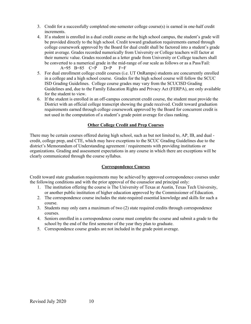- 3. Credit for a successfully completed one-semester college course(s) is earned in one-half credit increments.
- 4. If a student is enrolled in a dual credit course on the high school campus, the student's grade will be provided directly to the high school. Credit toward graduation requirements earned through college coursework approved by the Board for dual credit shall be factored into a student's grade point average. Grades recorded numerically from University or College teachers will factor at their numeric value. Grades recorded as a letter grade from University or College teachers shall be converted to a numerical grade in the mid-range of our scale as follows or as a Pass/Fail:  $A=95$  B=85 C=P D=P F=F
- 5. For dual enrollment college credit courses (i.e. UT OnRamps) students are concurrently enrolled in a college and a high school course. Grades for the high school course will follow the SCUC ISD Grading Guidelines. College course grades may vary from the SCUCISD Grading Guidelines and, due to the Family Education Rights and Privacy Act (FERPA), are only available for the student to view.
- 6. If the student is enrolled in an off-campus concurrent credit course, the student must provide the District with an official college transcript showing the grade received. Credit toward graduation requirements earned through college coursework approved by the Board for concurrent credit is not used in the computation of a student's grade point average for class ranking.

# **Other College Credit and Prep Courses**

There may be certain courses offered during high school, such as but not limited to, AP, IB, and dual credit, college prep, and CTE, which may have exceptions to the SCUC Grading Guidelines due to the district's Memorandum of Understanding agreement / requirements with providing institutions or organizations. Grading and assessment expectations in any course in which there are exceptions will be clearly communicated through the course syllabus.

# **Correspondence Courses**

Credit toward state graduation requirements may be achieved by approved correspondence courses under the following conditions and with the prior approval of the counselor and principal only:

- 1. The institution offering the course is The University of Texas at Austin, Texas Tech University, or another public institution of higher education approved by the Commissioner of Education.
- 2. The correspondence course includes the state-required essential knowledge and skills for such a course.
- 3. Students may only earn a maximum of two (2) state required credits through correspondence courses.
- 4. Seniors enrolled in a correspondence course must complete the course and submit a grade to the school by the end of the first semester of the year they plan to graduate.
- 5. Correspondence course grades are not included in the grade point average.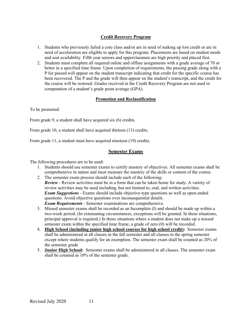# **Credit Recovery Program**

- 1. Students who previously failed a core class and/or are in need of making up lost credit or are in need of acceleration are eligible to apply for this program. Placements are based on student needs and seat availability. Fifth year seniors and upperclassmen are high priority and placed first.
- 2. Students must complete all required online and offline assignments with a grade average of 70 or better in a specified time frame. Upon completion of requirements, the passing grade along with a P for passed will appear on the student transcript indicating that credit for the specific course has been recovered. The P and the grade will then appear on the student's transcript, and the credit for the course will be restored. Grades received in the Credit Recovery Program are not used in computation of a student's grade point average (GPA).

# **Promotion and Reclassification**

To be promoted:

From grade 9, a student shall have acquired six (6) credits.

From grade 10, a student shall have acquired thirteen (13) credits.

From grade 11, a student must have acquired nineteen (19) credits.

# **Semester Exams**

The following procedures are to be used:

- 1. Students should use semester exams to certify mastery of objectives. All semester exams shall be comprehensive in nature and must measure the mastery of the skills or content of the course.
- 2. The semester exam process should include each of the following: *Review* - Review activities must be in a form that can be taken home for study. A variety of review activities may be used including, but not limited to, oral, and written activities. *Exam Suggestions* - Exams should include objective-type questions as well as open-ended questions. Avoid objective questions over inconsequential details. *Exam Requirements* - Semester examinations are comprehensive.
- 3. Missed semester exams shall be recorded as an Incomplete (I) and should be made up within a two-week period. (In extenuating circumstances, exceptions will be granted. In these situations, principal approval is required.) In those situations where a student does not make up a missed semester exam within the specified time frame, a grade of zero (0) will be recorded.
- 4. **High School (including junior high school courses for high school credit):** Semester exams shall be administered in all classes in the fall semester and all classes in the spring semester except where students qualify for an exemption. The semester exam shall be counted as 20% of the semester grade
- 5. **Junior High School:** Semester exams shall be administered in all classes. The semester exam shall be counted as 10% of the semester grade.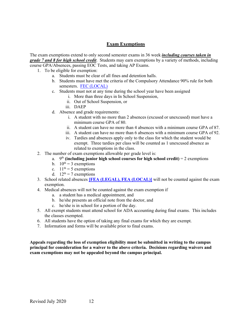# **Exam Exemptions**

The exam exemptions extend to only second semester exams in 36 week *including courses taken in grade 7 and 8 for high school credit*. Students may earn exemptions by a variety of methods, including course GPA/Absences, passing EOC Tests, and taking AP Exams.

- 1. To be eligible for exemption:
	- a. Students must be clear of all fines and detention halls.
	- b. Students must have met the criteria of the Compulsory Attendance 90% rule for both semesters. [FEC \(LOCAL\)](https://pol.tasb.org/Policy/Code/551?filter=FEC)
	- c. Students must not at any time during the school year have been assigned
		- i. More than three days in In School Suspension,
		- ii. Out of School Suspension, or
		- iii. DAEP
	- d. Absence and grade requirements:
		- i. A student with no more than 2 absences (excused or unexcused) must have a minimum course GPA of 80.
		- ii. A student can have no more than 4 absences with a minimum course GPA of 87.
		- iii. A student can have no more than 6 absences with a minimum course GPA of 92.
		- iv. Tardies and absences apply only to the class for which the student would be exempt. Three tardies per class will be counted as 1 unexcused absence as related to exemptions in the class.
- 2. The number of exam exemptions allowable per grade level is:
	- a.  $9<sup>th</sup>$  (including junior high school courses for high school credit) = 2 exemptions
	- b.  $10^{th} = 3$  exemptions
	- c.  $11<sup>th</sup> = 5$  exemptions
	- d.  $12^{th} = 7$  exemptions
- 3. School related absences **[\[FEA \(LEGAL\), FEA \(LOCAL\)\]](https://pol.tasb.org/Policy/Code/551?filter=FEA)** will not be counted against the exam exemption.
- 4. Medical absences will not be counted against the exam exemption if
	- a. a student has a medical appointment, and
	- b. he/she presents an official note from the doctor, and
	- c. he/she is in school for a portion of the day.
- 5. All exempt students must attend school for ADA accounting during final exams. This includes the classes exempted.
- 6. All students have the option of taking any final exams for which they are exempt.
- 7. Information and forms will be available prior to final exams.

**Appeals regarding the loss of exemption eligibility must be submitted in writing to the campus principal for consideration for a waiver to the above criteria. Decisions regarding waivers and exam exemptions may not be appealed beyond the campus principal.**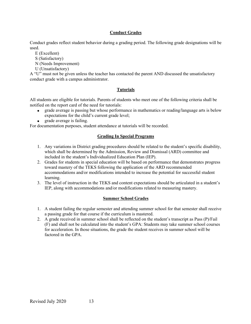# **Conduct Grades**

Conduct grades reflect student behavior during a grading period. The following grade designations will be used.

- E (Excellent)
- S (Satisfactory)
- N (Needs Improvement)
- U (Unsatisfactory)

A "U" must not be given unless the teacher has contacted the parent AND discussed the unsatisfactory conduct grade with a campus administrator.

# **Tutorials**

All students are eligible for tutorials. Parents of students who meet one of the following criteria shall be notified on the report card of the need for tutorials:

- grade average is passing but whose performance in mathematics or reading/language arts is below expectations for the child's current grade level;
- grade average is failing.

For documentation purposes, student attendance at tutorials will be recorded.

# **Grading In Special Programs**

- 1. Any variations in District grading procedures should be related to the student's specific disability, which shall be determined by the Admission, Review and Dismissal (ARD) committee and included in the student's Individualized Education Plan (IEP).
- 2. Grades for students in special education will be based on performance that demonstrates progress toward mastery of the TEKS following the application of the ARD recommended accommodations and/or modifications intended to increase the potential for successful student learning.
- 3. The level of instruction in the TEKS and content expectations should be articulated in a student's IEP, along with accommodations and/or modifications related to measuring mastery.

# **Summer School Grades**

- 1. A student failing the regular semester and attending summer school for that semester shall receive a passing grade for that course if the curriculum is mastered.
- 2. A grade received in summer school shall be reflected on the student's transcript as Pass (P)/Fail (F) and shall not be calculated into the student's GPA: Students may take summer school courses for acceleration. In those situations, the grade the student receives in summer school will be factored in the GPA.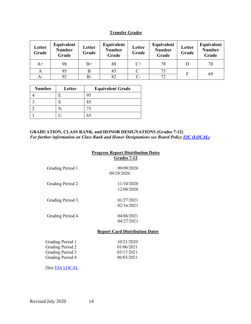# **Transfer Grades**

| Letter<br>Grade | Equivalent<br><b>Number</b><br>Grade | Letter<br>Grade | Equivalent<br><b>Number</b><br>Grade | Letter<br>Grade | Equivalent<br><b>Number</b><br>Grade | Letter<br>Grade | Equivalent<br><b>Number</b><br>Grade |
|-----------------|--------------------------------------|-----------------|--------------------------------------|-----------------|--------------------------------------|-----------------|--------------------------------------|
| $A+$            | 98                                   | $B+$            | 88                                   | $C_{\pm}$       | 78                                   |                 | 70                                   |
| А               | 95                                   | B               | 85                                   |                 | 75                                   | F               |                                      |
| A-              | 92                                   | B-              | 82                                   | $C-$            | 72                                   |                 | 69                                   |

| <b>Number</b> | Letter | <b>Equivalent Grade</b> |
|---------------|--------|-------------------------|
|               |        | 95                      |
|               |        | 85                      |
|               |        | 75                      |
|               |        | 65                      |

#### **GRADUATION, CLASS RANK, and HONOR DESIGNATIONS (Grades 7-12)** *For further information on Class Rank and Honor Designations see Board Policy [EIC \(LOCAL\)](https://pol.tasb.org/Policy/Code/551?filter=EIC)*

|                                                                              | <b>Progress Report Distribution Dates</b><br><b>Grades 7-12</b> |
|------------------------------------------------------------------------------|-----------------------------------------------------------------|
| Grading Period 1                                                             | 09/09/2020<br>09/29/2020                                        |
| Grading Period 2                                                             | 11/10/2020<br>12/08/2020                                        |
| Grading Period 3                                                             | 01/27/2021<br>02/16/2021                                        |
| Grading Period 4                                                             | 04/06/2021<br>04/27/2021                                        |
|                                                                              | <b>Report Card Distribution Dates</b>                           |
| Grading Period 1<br>Grading Period 2<br>Grading Period 3<br>Grading Period 4 | 10/21/2020<br>01/06/2021<br>03/17/2021<br>06/03/2021            |
| [See <u>EIA LOCAL</u>                                                        |                                                                 |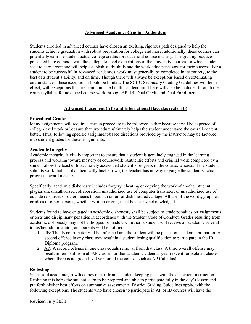# **Advanced Academics Grading Addendum**

Students enrolled in advanced courses have chosen an exciting, rigorous path designed to help the students achieve graduation with robust preparation for college and more: additionally, these courses can potentially earn the student actual college credits for successful course mastery. The grading practices presented here coincide with the collegiate-level expectations of the university courses for which students seek to earn credit and will help establish study skills and the work ethic necessary for their success. For a student to be successful in advanced academics, work must generally be completed in its entirety, to the best of a student's ability, and on time. Though there will always be exceptions based on extenuating circumstances, these exceptions should be limited. The SCUC Secondary Grading Guidelines will be in effect, with exceptions that are communicated in this addendum. These will also be included through the course syllabus for advanced course work through AP, IB, Dual Credit and Dual Enrollment.

#### **Advanced Placement (AP) and International Baccalaureate (IB)**

#### **Procedural Grades**

Many assignments will require a certain procedure to be followed, either because it will be expected of college-level work or because that procedure ultimately helps the student understand the overall content better. Thus, following specific assignment-based directions provided by the instructor may be factored into student grades for these assignments.

#### **Academic Integrity**

Academic integrity is vitally important to ensure that a student is genuinely engaged in the learning process and working toward mastery of coursework. Authentic efforts and original work completed by a student allow the teacher to accurately assess that student's progress in the course, whereas if the student submits work that is not authentically his/her own, the teacher has no way to gauge the student's actual progress toward mastery.

Specifically, academic dishonesty includes forgery, cheating or copying the work of another student, plagiarism, unauthorized collaboration, unauthorized use of computer translator, or unauthorized use of outside resources or other means to gain an unfair or dishonest advantage. All use of the words, graphics or ideas of other persons, whether written or oral, must be clearly acknowledged.

Students found to have engaged in academic dishonesty shall be subject to grade penalties on assignments or tests and disciplinary penalties in accordance with the Student Code of Conduct. Grades resulting from academic dishonesty may not be dropped or made up; further, a student will receive an academic referral to his/her administrator, and parents will be notified.

- 1. IB: The IB coordinator will be informed and the student will be placed on academic probation. A second offense in any class may result in a student losing qualification to participate in the IB Diploma program.
- 2. AP**:** A second offense in one class equals removal from that class. A third overall offense may result in removal from all AP classes for that academic calendar year (except for isolated classes where there is no grade-level version of the course, such as AP Calculus).

#### **Re-testing**

Successful academic growth comes in part from a student keeping pace with the classroom instruction. Realizing this helps the student learn to be prepared and able to participate fully in the day's lesson and put forth his/her best efforts on summative assessments. District Grading Guidelines apply, with the following exceptions. The students who have chosen to participate in AP or IB courses will have the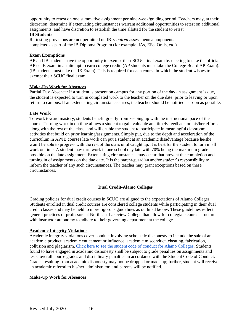opportunity to retest on one summative assignment per nine-week/grading period. Teachers may, at their discretion, determine if extenuating circumstances warrant additional opportunities to retest on additional assignments, and have discretion to establish the time allotted for the student to retest.

#### **IB Students**

Re-testing provisions are not permitted on IB-*required* assessments/components completed as part of the IB Diploma Program (for example, IAs, EEs, Orals, etc.).

#### **Exam Exemptions**

AP and IB students have the opportunity to exempt their SCUC final exam by electing to take the official AP or IB exam in an attempt to earn college credit. (AP students must take the College Board AP Exam). (IB students must take the IB Exam). This is required for each course in which the student wishes to exempt their SCUC final exam.

#### **Make-Up Work for Absences**

Partial Day Absence: If a student is present on campus for any portion of the day an assignment is due, the student is expected to turn in completed work to the teacher on the due date, prior to leaving or upon return to campus. If an extenuating circumstance arises, the teacher should be notified as soon as possible.

#### **Late Work**

To work toward mastery, students benefit greatly from keeping up with the instructional pace of the course. Turning work in on time allows a student to gain valuable and timely feedback on his/her efforts along with the rest of the class, and will enable the student to participate in meaningful classroom activities that build on prior learning/assignments. Simply put, due to the depth and acceleration of the curriculum in AP/IB courses late work can put a student at an academic disadvantage because he/she won't be able to progress with the rest of the class until caught up. It is best for the student to turn in all work on time. A student may turn work in one school day late with 70% being the maximum grade possible on the late assignment. Extenuating circumstances may occur that prevent the completion and turning in of assignments on the due date. It is the parent/guardian and/or student's responsibility to inform the teacher of any such circumstances. The teacher may grant exceptions based on these circumstances.

# **Dual Credit-Alamo Colleges**

Grading policies for dual credit courses in SCUC are aligned to the expectations of Alamo Colleges. Students enrolled in dual credit courses are considered college students while participating in their dual credit classes and may be held to more rigorous guidelines as outlined below. These guidelines reflect general practices of professors at Northeast Lakeview College that allow for collegiate course structure with instructor autonomy to adhere to their governing department at the college.

#### **Academic Integrity Violations**

Academic integrity violations cover conduct involving scholastic dishonesty to include the sale of an academic product, academic enticement or influence, academic misconduct, cheating, fabrication, collusion and plagiarism. [Click here to see the student code of conduct for Alamo Colleges.](https://www.alamo.edu/siteassets/district/about-us/leadership/board-of-trustees/policies-pdfs/section-f/f.4.2.2-procedure.pdf) Students found to have engaged in academic dishonesty shall be subject to grade penalties on assignments and tests, overall course grades and disciplinary penalties in accordance with the Student Code of Conduct. Grades resulting from academic dishonesty may not be dropped or made up; further, student will receive an academic referral to his/her administrator, and parents will be notified.

#### **Make-Up Work for Absences**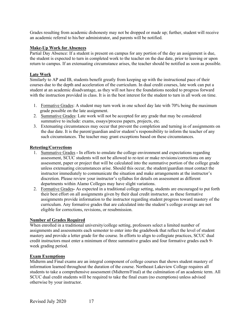Grades resulting from academic dishonesty may not be dropped or made up; further, student will receive an academic referral to his/her administrator, and parents will be notified.

#### **Make-Up Work for Absences**

Partial Day Absence: If a student is present on campus for any portion of the day an assignment is due, the student is expected to turn in completed work to the teacher on the due date, prior to leaving or upon return to campus. If an extenuating circumstance arises, the teacher should be notified as soon as possible.

# **Late Work**

Similarly to AP and IB, students benefit greatly from keeping up with the instructional pace of their courses due to the depth and acceleration of the curriculum. In dual credit courses, late work can put a student at an academic disadvantage, as they will not have the foundations needed to progress forward with the instruction provided in class. It is in the best interest for the student to turn in all work on time.

- 1. Formative Grades: A student may turn work in one school day late with 70% being the maximum grade possible on the late assignment.
- 2. Summative Grades: Late work will not be accepted for any grade that may be considered summative to include: exams, essays/process papers, projects, etc.
- 3. Extenuating circumstances may occur that prevent the completion and turning in of assignments on the due date. It is the parent/guardian and/or student's responsibility to inform the teacher of any such circumstances. The teacher may grant exceptions based on these circumstances.

# **Retesting/Corrections**

- 1. Summative Grades **-** In efforts to emulate the college environment and expectations regarding assessment, SCUC students will not be allowed to re-test or make revisions/corrections on any assessment, paper or project that will be calculated into the summative portion of the college grade unless extenuating circumstances arise. Should this occur, the student/guardian must contact the instructor immediately to communicate the situation and make arrangements at the instructor's discretion. Please review your instructor's syllabus for details on assessment as different departments within Alamo Colleges may have slight variations.
- 2. Formative Grades**-** As expected in a traditional college setting, students are encouraged to put forth their best effort on all assignments given by their dual credit instructor, as these formative assignments provide information to the instructor regarding student progress toward mastery of the curriculum. Any formative grades that are calculated into the student's college average are not eligible for corrections, revisions, or resubmission.

# **Number of Grades Required**

When enrolled in a traditional university/college setting, professors select a limited number of assignments and assessments each semester to enter into the gradebook that reflect the level of student mastery and provide a letter grade for the course. In efforts to align to collegiate practices, SCUC dual credit instructors must enter a minimum of three summative grades and four formative grades each 9 week grading period.

# **Exam Exemptions**

Midterm and Final exams are an integral component of college courses that shows student mastery of information learned throughout the duration of the course. Northeast Lakeview College requires all students to take a comprehensive assessment (Midterm/Final) at the culmination of an academic term. All SCUC dual credit students will be required to take the final exam (no exemptions) unless advised otherwise by your instructor.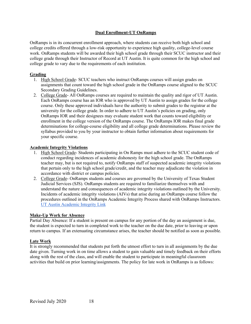# **Dual Enrollment-UT OnRamps**

OnRamps is in its concurrent enrollment approach, where students can receive both high school and college credits offered through a low-risk opportunity to experience high quality, college-level course work. OnRamps students will be awarded their high school grade through their SCUC instructor and their college grade through their Instructor of Record at UT Austin. It is quite common for the high school and college grade to vary due to the requirements of each institution.

# **Grading**

- 1. High School Grade- SCUC teachers who instruct OnRamps courses will assign grades on assignments that count toward the high school grade in the OnRamps course aligned to the SCUC Secondary Grading Guidelines.
- 2. College Grade- All OnRamps courses are required to maintain the quality and rigor of UT Austin. Each OnRamps course has an IOR who is approved by UT Austin to assign grades for the college course. Only these approved individuals have the authority to submit grades to the registrar at the university for the college grade. In order to adhere to UT Austin's policies on grading, only OnRamps IOR and their designees may evaluate student work that counts toward eligibility or enrollment in the college version of the OnRamps course. The OnRamps IOR makes final grade determinations for college-course eligibility and all college grade determinations. Please review the syllabus provided to you by your instructor to obtain further information about requirements for your specific course.

# **Academic Integrity Violations**

- 1. High School Grade- Students participating in On Ramps must adhere to the SCUC student code of conduct regarding incidences of academic dishonesty for the high school grade. The OnRamps teacher may, but is not required to, notify OnRamps staff of suspected academic integrity violations that pertain only to the high school grade/credit, and the teacher may adjudicate the violation in accordance with district or campus policies.
- 2. College Grade- OnRamps students and courses are governed by the University of Texas Student Judicial Services (SJS). OnRamps students are required to familiarize themselves with and understand the nature and consequences of academic integrity violations outlined by the University. Incidents of academic integrity violations (AIVs) that arise during an OnRamps course follow the procedures outlined in the OnRamps Academic Integrity Process shared with OnRamps Instructors. [UT Austin Academic Integrity Link](https://deanofstudents.utexas.edu/conduct/academicintegrity.php)

# **Make-Up Work for Absence**

Partial Day Absence: If a student is present on campus for any portion of the day an assignment is due, the student is expected to turn in completed work to the teacher on the due date, prior to leaving or upon return to campus. If an extenuating circumstance arises, the teacher should be notified as soon as possible.

# **Late Work**

It is strongly recommended that students put forth the utmost effort to turn in all assignments by the due date given. Turning work in on time allows a student to gain valuable and timely feedback on their efforts along with the rest of the class, and will enable the student to participate in meaningful classroom activities that build on prior learning/assignments. The policy for late work in OnRamps is as follows: